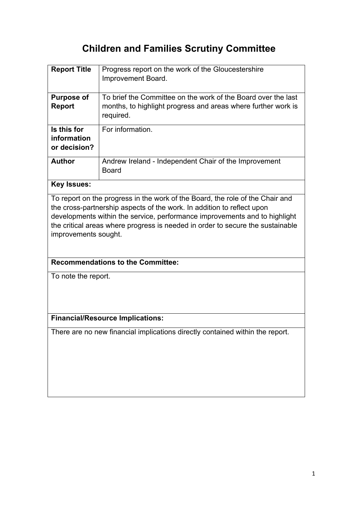# **Children and Families Scrutiny Committee**

| <b>Report Title</b>                                                                                                                                                                                                                                                                                                     | Progress report on the work of the Gloucestershire<br>Improvement Board.                                                                    |
|-------------------------------------------------------------------------------------------------------------------------------------------------------------------------------------------------------------------------------------------------------------------------------------------------------------------------|---------------------------------------------------------------------------------------------------------------------------------------------|
| <b>Purpose of</b><br>Report                                                                                                                                                                                                                                                                                             | To brief the Committee on the work of the Board over the last<br>months, to highlight progress and areas where further work is<br>required. |
| Is this for<br>information<br>or decision?                                                                                                                                                                                                                                                                              | For information.                                                                                                                            |
| <b>Author</b>                                                                                                                                                                                                                                                                                                           | Andrew Ireland - Independent Chair of the Improvement<br><b>Board</b>                                                                       |
| <b>Key Issues:</b>                                                                                                                                                                                                                                                                                                      |                                                                                                                                             |
| To report on the progress in the work of the Board, the role of the Chair and<br>the cross-partnership aspects of the work. In addition to reflect upon<br>developments within the service, performance improvements and to highlight<br>the critical areas where progress is needed in order to secure the sustainable |                                                                                                                                             |

## **Recommendations to the Committee:**

To note the report.

improvements sought.

## **Financial/Resource Implications:**

There are no new financial implications directly contained within the report.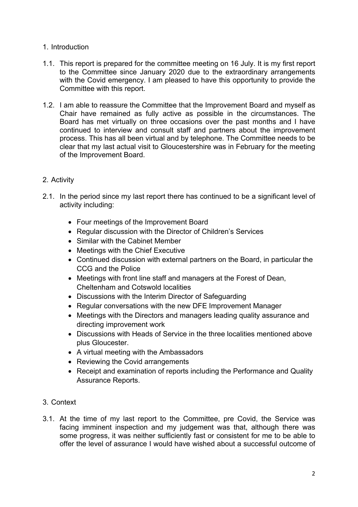### 1. Introduction

- 1.1. This report is prepared for the committee meeting on 16 July. It is my first report to the Committee since January 2020 due to the extraordinary arrangements with the Covid emergency. I am pleased to have this opportunity to provide the Committee with this report.
- 1.2. I am able to reassure the Committee that the Improvement Board and myself as Chair have remained as fully active as possible in the circumstances. The Board has met virtually on three occasions over the past months and I have continued to interview and consult staff and partners about the improvement process. This has all been virtual and by telephone. The Committee needs to be clear that my last actual visit to Gloucestershire was in February for the meeting of the Improvement Board.

## 2. Activity

- 2.1. In the period since my last report there has continued to be a significant level of activity including:
	- Four meetings of the Improvement Board
	- Regular discussion with the Director of Children's Services
	- Similar with the Cabinet Member
	- Meetings with the Chief Executive
	- Continued discussion with external partners on the Board, in particular the CCG and the Police
	- Meetings with front line staff and managers at the Forest of Dean, Cheltenham and Cotswold localities
	- Discussions with the Interim Director of Safeguarding
	- Regular conversations with the new DFE Improvement Manager
	- Meetings with the Directors and managers leading quality assurance and directing improvement work
	- Discussions with Heads of Service in the three localities mentioned above plus Gloucester.
	- A virtual meeting with the Ambassadors
	- Reviewing the Covid arrangements
	- Receipt and examination of reports including the Performance and Quality Assurance Reports.
- 3. Context
- 3.1. At the time of my last report to the Committee, pre Covid, the Service was facing imminent inspection and my judgement was that, although there was some progress, it was neither sufficiently fast or consistent for me to be able to offer the level of assurance I would have wished about a successful outcome of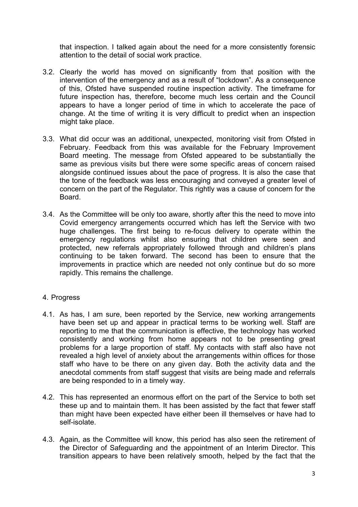that inspection. I talked again about the need for a more consistently forensic attention to the detail of social work practice.

- 3.2. Clearly the world has moved on significantly from that position with the intervention of the emergency and as a result of "lockdown". As a consequence of this, Ofsted have suspended routine inspection activity. The timeframe for future inspection has, therefore, become much less certain and the Council appears to have a longer period of time in which to accelerate the pace of change. At the time of writing it is very difficult to predict when an inspection might take place.
- 3.3. What did occur was an additional, unexpected, monitoring visit from Ofsted in February. Feedback from this was available for the February Improvement Board meeting. The message from Ofsted appeared to be substantially the same as previous visits but there were some specific areas of concern raised alongside continued issues about the pace of progress. It is also the case that the tone of the feedback was less encouraging and conveyed a greater level of concern on the part of the Regulator. This rightly was a cause of concern for the Board.
- 3.4. As the Committee will be only too aware, shortly after this the need to move into Covid emergency arrangements occurred which has left the Service with two huge challenges. The first being to re-focus delivery to operate within the emergency regulations whilst also ensuring that children were seen and protected, new referrals appropriately followed through and children's plans continuing to be taken forward. The second has been to ensure that the improvements in practice which are needed not only continue but do so more rapidly. This remains the challenge.

### 4. Progress

- 4.1. As has, I am sure, been reported by the Service, new working arrangements have been set up and appear in practical terms to be working well. Staff are reporting to me that the communication is effective, the technology has worked consistently and working from home appears not to be presenting great problems for a large proportion of staff. My contacts with staff also have not revealed a high level of anxiety about the arrangements within offices for those staff who have to be there on any given day. Both the activity data and the anecdotal comments from staff suggest that visits are being made and referrals are being responded to in a timely way.
- 4.2. This has represented an enormous effort on the part of the Service to both set these up and to maintain them. It has been assisted by the fact that fewer staff than might have been expected have either been ill themselves or have had to self-isolate.
- 4.3. Again, as the Committee will know, this period has also seen the retirement of the Director of Safeguarding and the appointment of an Interim Director. This transition appears to have been relatively smooth, helped by the fact that the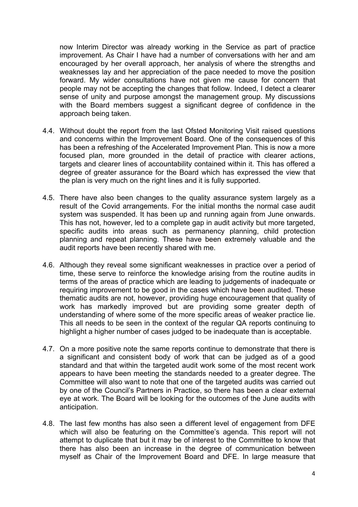now Interim Director was already working in the Service as part of practice improvement. As Chair I have had a number of conversations with her and am encouraged by her overall approach, her analysis of where the strengths and weaknesses lay and her appreciation of the pace needed to move the position forward. My wider consultations have not given me cause for concern that people may not be accepting the changes that follow. Indeed, I detect a clearer sense of unity and purpose amongst the management group. My discussions with the Board members suggest a significant degree of confidence in the approach being taken.

- 4.4. Without doubt the report from the last Ofsted Monitoring Visit raised questions and concerns within the Improvement Board. One of the consequences of this has been a refreshing of the Accelerated Improvement Plan. This is now a more focused plan, more grounded in the detail of practice with clearer actions, targets and clearer lines of accountability contained within it. This has offered a degree of greater assurance for the Board which has expressed the view that the plan is very much on the right lines and it is fully supported.
- 4.5. There have also been changes to the quality assurance system largely as a result of the Covid arrangements. For the initial months the normal case audit system was suspended. It has been up and running again from June onwards. This has not, however, led to a complete gap in audit activity but more targeted, specific audits into areas such as permanency planning, child protection planning and repeat planning. These have been extremely valuable and the audit reports have been recently shared with me.
- 4.6. Although they reveal some significant weaknesses in practice over a period of time, these serve to reinforce the knowledge arising from the routine audits in terms of the areas of practice which are leading to judgements of inadequate or requiring improvement to be good in the cases which have been audited. These thematic audits are not, however, providing huge encouragement that quality of work has markedly improved but are providing some greater depth of understanding of where some of the more specific areas of weaker practice lie. This all needs to be seen in the context of the regular QA reports continuing to highlight a higher number of cases judged to be inadequate than is acceptable.
- 4.7. On a more positive note the same reports continue to demonstrate that there is a significant and consistent body of work that can be judged as of a good standard and that within the targeted audit work some of the most recent work appears to have been meeting the standards needed to a greater degree. The Committee will also want to note that one of the targeted audits was carried out by one of the Council's Partners in Practice, so there has been a clear external eye at work. The Board will be looking for the outcomes of the June audits with anticipation.
- 4.8. The last few months has also seen a different level of engagement from DFE which will also be featuring on the Committee's agenda. This report will not attempt to duplicate that but it may be of interest to the Committee to know that there has also been an increase in the degree of communication between myself as Chair of the Improvement Board and DFE. In large measure that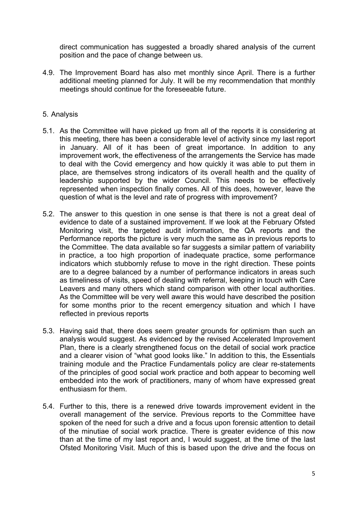direct communication has suggested a broadly shared analysis of the current position and the pace of change between us.

4.9. The Improvement Board has also met monthly since April. There is a further additional meeting planned for July. It will be my recommendation that monthly meetings should continue for the foreseeable future.

#### 5. Analysis

- 5.1. As the Committee will have picked up from all of the reports it is considering at this meeting, there has been a considerable level of activity since my last report in January. All of it has been of great importance. In addition to any improvement work, the effectiveness of the arrangements the Service has made to deal with the Covid emergency and how quickly it was able to put them in place, are themselves strong indicators of its overall health and the quality of leadership supported by the wider Council. This needs to be effectively represented when inspection finally comes. All of this does, however, leave the question of what is the level and rate of progress with improvement?
- 5.2. The answer to this question in one sense is that there is not a great deal of evidence to date of a sustained improvement. If we look at the February Ofsted Monitoring visit, the targeted audit information, the QA reports and the Performance reports the picture is very much the same as in previous reports to the Committee. The data available so far suggests a similar pattern of variability in practice, a too high proportion of inadequate practice, some performance indicators which stubbornly refuse to move in the right direction. These points are to a degree balanced by a number of performance indicators in areas such as timeliness of visits, speed of dealing with referral, keeping in touch with Care Leavers and many others which stand comparison with other local authorities. As the Committee will be very well aware this would have described the position for some months prior to the recent emergency situation and which I have reflected in previous reports
- 5.3. Having said that, there does seem greater grounds for optimism than such an analysis would suggest. As evidenced by the revised Accelerated Improvement Plan, there is a clearly strengthened focus on the detail of social work practice and a clearer vision of "what good looks like." In addition to this, the Essentials training module and the Practice Fundamentals policy are clear re-statements of the principles of good social work practice and both appear to becoming well embedded into the work of practitioners, many of whom have expressed great enthusiasm for them.
- 5.4. Further to this, there is a renewed drive towards improvement evident in the overall management of the service. Previous reports to the Committee have spoken of the need for such a drive and a focus upon forensic attention to detail of the minutiae of social work practice. There is greater evidence of this now than at the time of my last report and, I would suggest, at the time of the last Ofsted Monitoring Visit. Much of this is based upon the drive and the focus on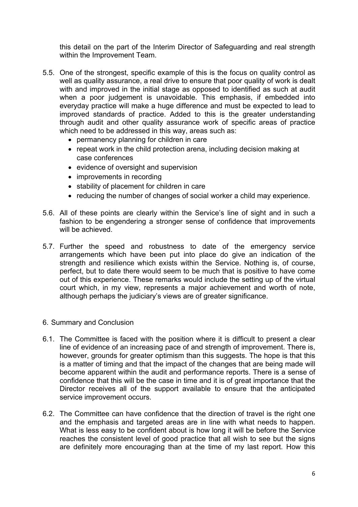this detail on the part of the Interim Director of Safeguarding and real strength within the Improvement Team.

- 5.5. One of the strongest, specific example of this is the focus on quality control as well as quality assurance, a real drive to ensure that poor quality of work is dealt with and improved in the initial stage as opposed to identified as such at audit when a poor judgement is unavoidable. This emphasis, if embedded into everyday practice will make a huge difference and must be expected to lead to improved standards of practice. Added to this is the greater understanding through audit and other quality assurance work of specific areas of practice which need to be addressed in this way, areas such as:
	- permanency planning for children in care
	- repeat work in the child protection arena, including decision making at case conferences
	- evidence of oversight and supervision
	- improvements in recording
	- stability of placement for children in care
	- reducing the number of changes of social worker a child may experience.
- 5.6. All of these points are clearly within the Service's line of sight and in such a fashion to be engendering a stronger sense of confidence that improvements will be achieved.
- 5.7. Further the speed and robustness to date of the emergency service arrangements which have been put into place do give an indication of the strength and resilience which exists within the Service. Nothing is, of course, perfect, but to date there would seem to be much that is positive to have come out of this experience. These remarks would include the setting up of the virtual court which, in my view, represents a major achievement and worth of note, although perhaps the judiciary's views are of greater significance.
- 6. Summary and Conclusion
- 6.1. The Committee is faced with the position where it is difficult to present a clear line of evidence of an increasing pace of and strength of improvement. There is, however, grounds for greater optimism than this suggests. The hope is that this is a matter of timing and that the impact of the changes that are being made will become apparent within the audit and performance reports. There is a sense of confidence that this will be the case in time and it is of great importance that the Director receives all of the support available to ensure that the anticipated service improvement occurs.
- 6.2. The Committee can have confidence that the direction of travel is the right one and the emphasis and targeted areas are in line with what needs to happen. What is less easy to be confident about is how long it will be before the Service reaches the consistent level of good practice that all wish to see but the signs are definitely more encouraging than at the time of my last report. How this